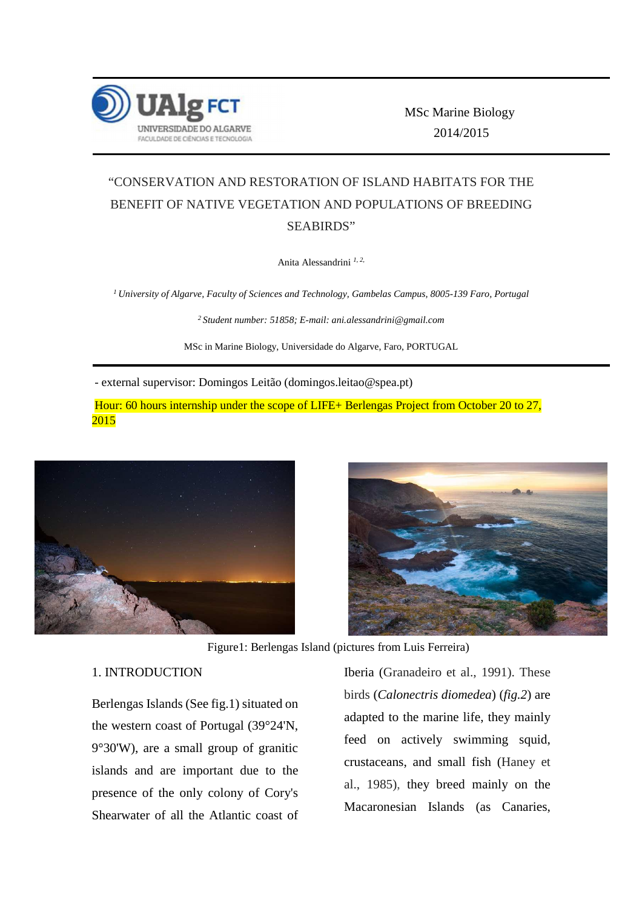

 MSc Marine Biology 2014/2015

# "CONSERVATION AND RESTORATION OF ISLAND HABITATS FOR THE BENEFIT OF NATIVE VEGETATION AND POPULATIONS OF BREEDING SEABIRDS"

Anita Alessandrini *1, 2,*

*<sup>1</sup>University of Algarve, Faculty of Sciences and Technology, Gambelas Campus, 8005-139 Faro, Portugal* 

*<sup>2</sup>Student number: 51858; E-mail: ani.alessandrini@gmail.com* 

MSc in Marine Biology, Universidade do Algarve, Faro, PORTUGAL

- external supervisor: Domingos Leitão (domingos.leitao@spea.pt)

 Hour: 60 hours internship under the scope of LIFE+ Berlengas Project from October 20 to 27, 2015





Figure1: Berlengas Island (pictures from Luis Ferreira)

### 1. INTRODUCTION

Berlengas Islands (See fig.1) situated on the western coast of Portugal (39°24'N, 9°30'W), are a small group of granitic islands and are important due to the presence of the only colony of Cory's Shearwater of all the Atlantic coast of Iberia (Granadeiro et al., 1991). These birds (*Calonectris diomedea*) (*fig.2*) are adapted to the marine life, they mainly feed on actively swimming squid, crustaceans, and small fish (Haney et al., 1985), they breed mainly on the Macaronesian Islands (as Canaries,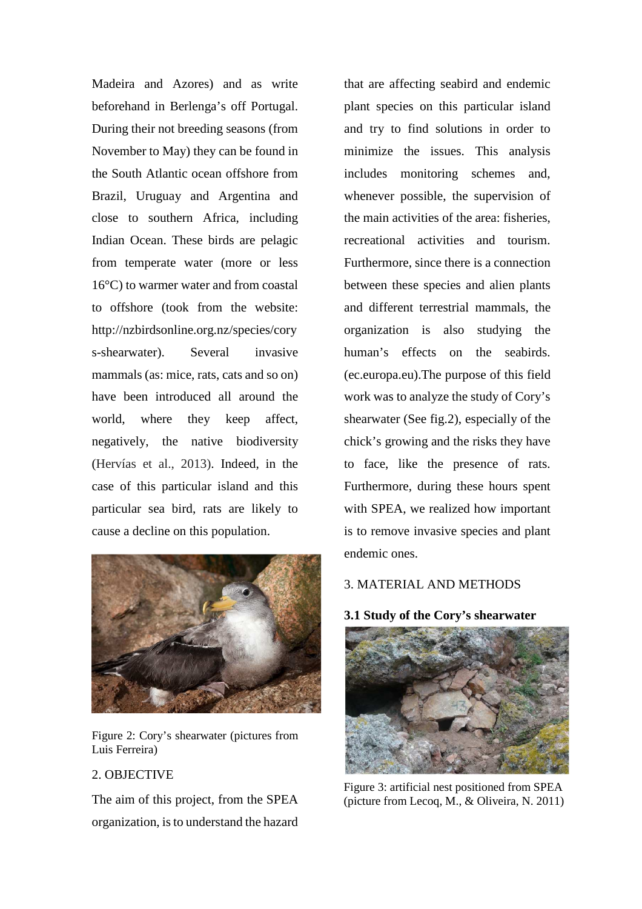Madeira and Azores) and as write beforehand in Berlenga's off Portugal. During their not breeding seasons (from November to May) they can be found in the South Atlantic ocean offshore from Brazil, Uruguay and Argentina and close to southern Africa, including Indian Ocean. These birds are pelagic from temperate water (more or less 16°C) to warmer water and from coastal to offshore (took from the website: http://nzbirdsonline.org.nz/species/cory s-shearwater). Several invasive mammals (as: mice, rats, cats and so on) have been introduced all around the world, where they keep affect, negatively, the native biodiversity (Hervías et al., 2013). Indeed, in the case of this particular island and this particular sea bird, rats are likely to cause a decline on this population.



Figure 2: Cory's shearwater (pictures from Luis Ferreira)

## 2. OBJECTIVE

The aim of this project, from the SPEA organization, is to understand the hazard

that are affecting seabird and endemic plant species on this particular island and try to find solutions in order to minimize the issues. This analysis includes monitoring schemes and, whenever possible, the supervision of the main activities of the area: fisheries, recreational activities and tourism. Furthermore, since there is a connection between these species and alien plants and different terrestrial mammals, the organization is also studying the human's effects on the seabirds. (ec.europa.eu).The purpose of this field work was to analyze the study of Cory's shearwater (See fig.2), especially of the chick's growing and the risks they have to face, like the presence of rats. Furthermore, during these hours spent with SPEA, we realized how important is to remove invasive species and plant endemic ones.

## 3. MATERIAL AND METHODS

**3.1 Study of the Cory's shearwater**



Figure 3: artificial nest positioned from SPEA (picture from Lecoq, M., & Oliveira, N. 2011)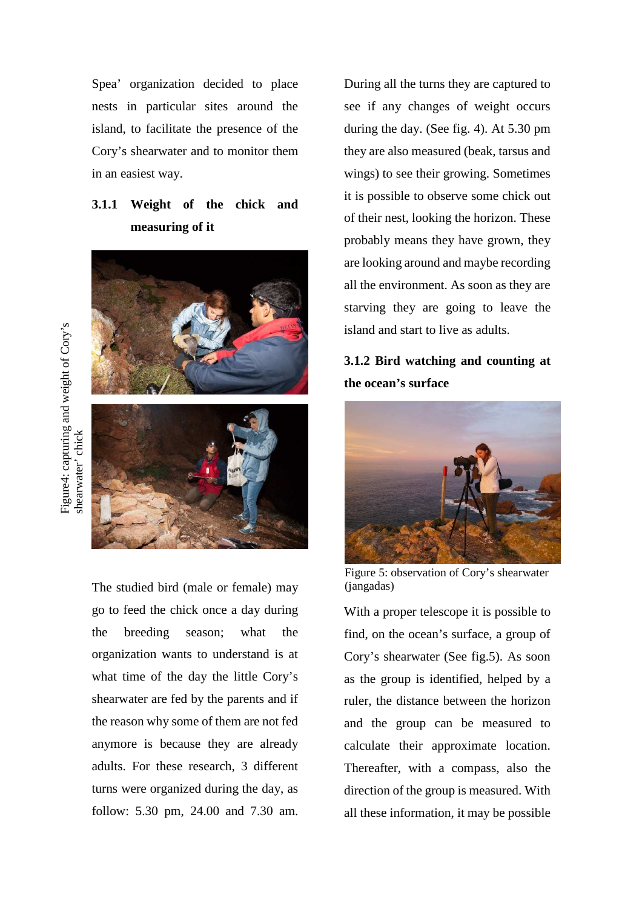Spea' organization decided to place nests in particular sites around the island, to facilitate the presence of the Cory's shearwater and to monitor them in an easiest way.

## **3.1.1 Weight of the chick and measuring of it**



The studied bird (male or female) may go to feed the chick once a day during the breeding season; what the organization wants to understand is at what time of the day the little Cory's shearwater are fed by the parents and if the reason why some of them are not fed anymore is because they are already adults. For these research, 3 different turns were organized during the day, as follow: 5.30 pm, 24.00 and 7.30 am.

During all the turns they are captured to see if any changes of weight occurs during the day. (See fig. 4). At 5.30 pm they are also measured (beak, tarsus and wings) to see their growing. Sometimes it is possible to observe some chick out of their nest, looking the horizon. These probably means they have grown, they are looking around and maybe recording all the environment. As soon as they are starving they are going to leave the island and start to live as adults.

## **3.1.2 Bird watching and counting at the ocean's surface**



Figure 5: observation of Cory's shearwater (jangadas)

With a proper telescope it is possible to find, on the ocean's surface, a group of Cory's shearwater (See fig.5). As soon as the group is identified, helped by a ruler, the distance between the horizon and the group can be measured to calculate their approximate location. Thereafter, with a compass, also the direction of the group is measured. With all these information, it may be possible

Figure4: capturing and weight of Cory's Figure4: capturing and weight of Cory's shearwater' chick shearwater' chick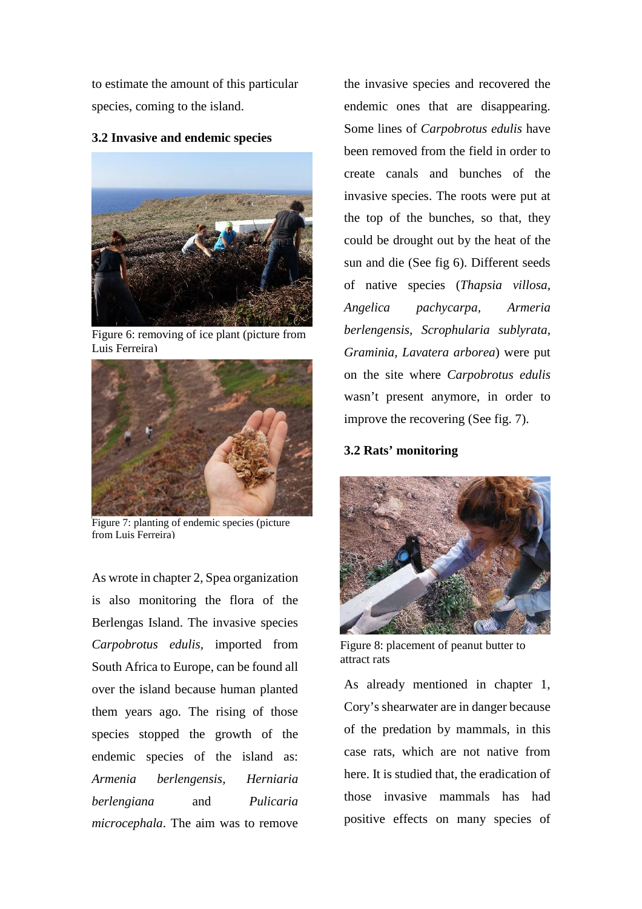to estimate the amount of this particular species, coming to the island.

### **3.2 Invasive and endemic species**



Figure 6: removing of ice plant (picture from Luis Ferreira)



Figure 7: planting of endemic species (picture from Luis Ferreira)

As wrote in chapter 2, Spea organization is also monitoring the flora of the Berlengas Island. The invasive species *Carpobrotus edulis,* imported from South Africa to Europe, can be found all over the island because human planted them years ago. The rising of those species stopped the growth of the endemic species of the island as: *Armenia berlengensis, Herniaria berlengiana* and *Pulicaria microcephala*. The aim was to remove

the invasive species and recovered the endemic ones that are disappearing. Some lines of *Carpobrotus edulis* have been removed from the field in order to create canals and bunches of the invasive species. The roots were put at the top of the bunches, so that, they could be drought out by the heat of the sun and die (See fig 6). Different seeds of native species (*Thapsia villosa, Angelica pachycarpa, Armeria berlengensis, Scrophularia sublyrata, Graminia, Lavatera arborea*) were put on the site where *Carpobrotus edulis* wasn't present anymore, in order to improve the recovering (See fig. 7).

#### **3.2 Rats' monitoring**



Figure 8: placement of peanut butter to attract rats

As already mentioned in chapter 1, Cory's shearwater are in danger because of the predation by mammals, in this case rats, which are not native from here. It is studied that, the eradication of those invasive mammals has had positive effects on many species of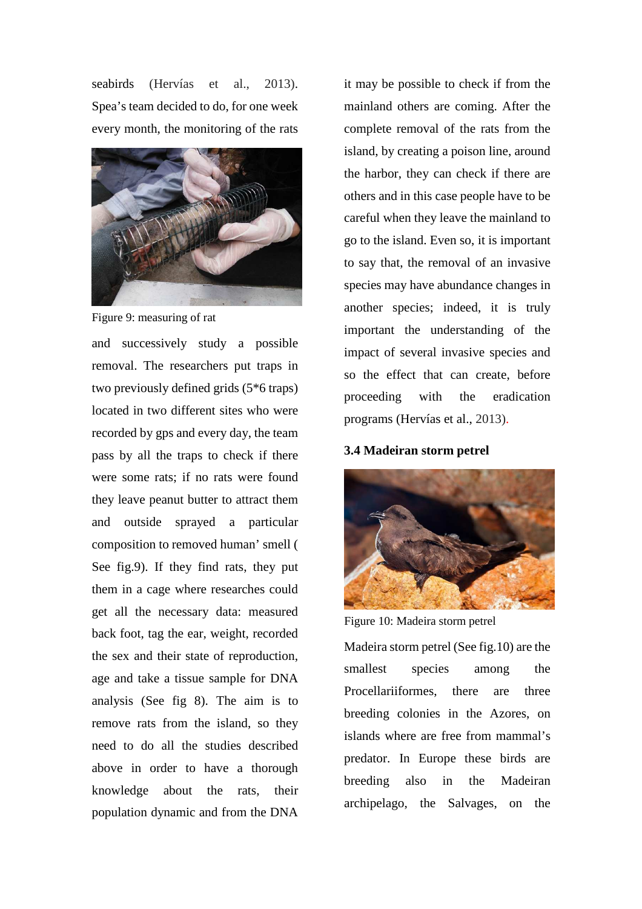seabirds (Hervías et al., 2013). Spea's team decided to do, for one week every month, the monitoring of the rats



Figure 9: measuring of rat

and successively study a possible removal. The researchers put traps in two previously defined grids (5\*6 traps) located in two different sites who were recorded by gps and every day, the team pass by all the traps to check if there were some rats; if no rats were found they leave peanut butter to attract them and outside sprayed a particular composition to removed human' smell ( See fig.9). If they find rats, they put them in a cage where researches could get all the necessary data: measured back foot, tag the ear, weight, recorded the sex and their state of reproduction, age and take a tissue sample for DNA analysis (See fig 8). The aim is to remove rats from the island, so they need to do all the studies described above in order to have a thorough knowledge about the rats, their population dynamic and from the DNA

it may be possible to check if from the mainland others are coming. After the complete removal of the rats from the island, by creating a poison line, around the harbor, they can check if there are others and in this case people have to be careful when they leave the mainland to go to the island. Even so, it is important to say that, the removal of an invasive species may have abundance changes in another species; indeed, it is truly important the understanding of the impact of several invasive species and so the effect that can create, before proceeding with the eradication programs (Hervías et al., 2013).

**3.4 Madeiran storm petrel** 



Figure 10: Madeira storm petrel

Madeira storm petrel (See fig.10) are the smallest species among the Procellariiformes, there are three breeding colonies in the Azores, on islands where are free from mammal's predator. In Europe these birds are breeding also in the Madeiran archipelago, the Salvages, on the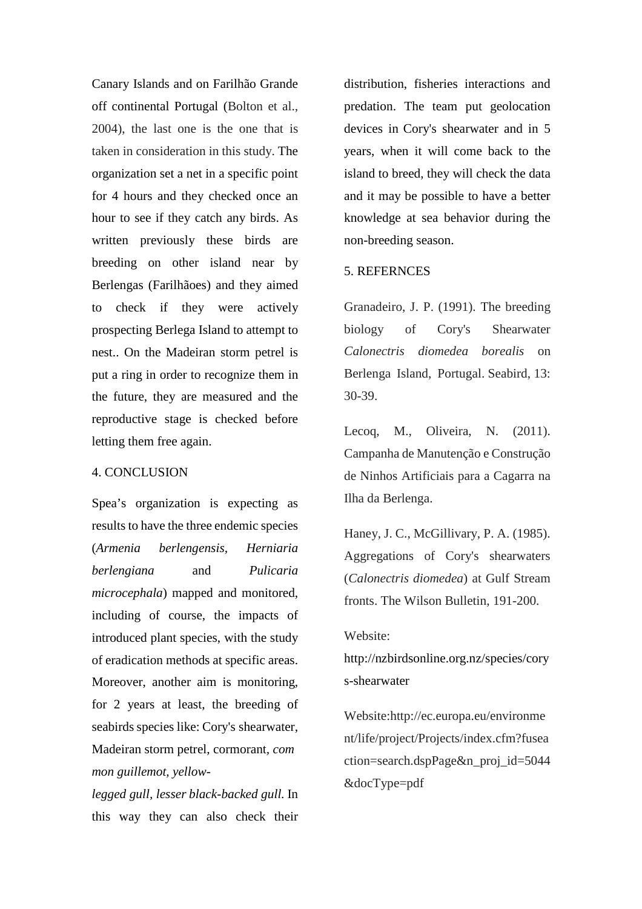Canary Islands and on Farilhão Grande off continental Portugal (Bolton et al., 2004), the last one is the one that is taken in consideration in this study. The organization set a net in a specific point for 4 hours and they checked once an hour to see if they catch any birds. As written previously these birds are breeding on other island near by Berlengas (Farilhãoes) and they aimed to check if they were actively prospecting Berlega Island to attempt to nest.. On the Madeiran storm petrel is put a ring in order to recognize them in the future, they are measured and the reproductive stage is checked before letting them free again.

#### 4. CONCLUSION

Spea's organization is expecting as results to have the three endemic species (*Armenia berlengensis, Herniaria berlengiana* and *Pulicaria microcephala*) mapped and monitored, including of course, the impacts of introduced plant species, with the study of eradication methods at specific areas. Moreover, another aim is monitoring, for 2 years at least, the breeding of seabirds species like: Cory's shearwater, Madeiran storm petrel, cormorant*, com mon guillemot, yellow-*

*legged gull, lesser black-backed gull.* In this way they can also check their

distribution, fisheries interactions and predation. The team put geolocation devices in Cory's shearwater and in 5 years, when it will come back to the island to breed, they will check the data and it may be possible to have a better knowledge at sea behavior during the non-breeding season.

#### 5. REFERNCES

Granadeiro, J. P. (1991). The breeding biology of Cory's Shearwater *Calonectris diomedea borealis* on Berlenga Island, Portugal. Seabird, 13: 30-39.

Lecoq, M., Oliveira, N. (2011). Campanha de Manutenção e Construção de Ninhos Artificiais para a Cagarra na Ilha da Berlenga.

Haney, J. C., McGillivary, P. A. (1985). Aggregations of Cory's shearwaters (*Calonectris diomedea*) at Gulf Stream fronts. The Wilson Bulletin, 191-200.

#### Website:

http://nzbirdsonline.org.nz/species/cory s-shearwater

Website:http://ec.europa.eu/environme nt/life/project/Projects/index.cfm?fusea ction=search.dspPage&n\_proj\_id=5044 &docType=pdf